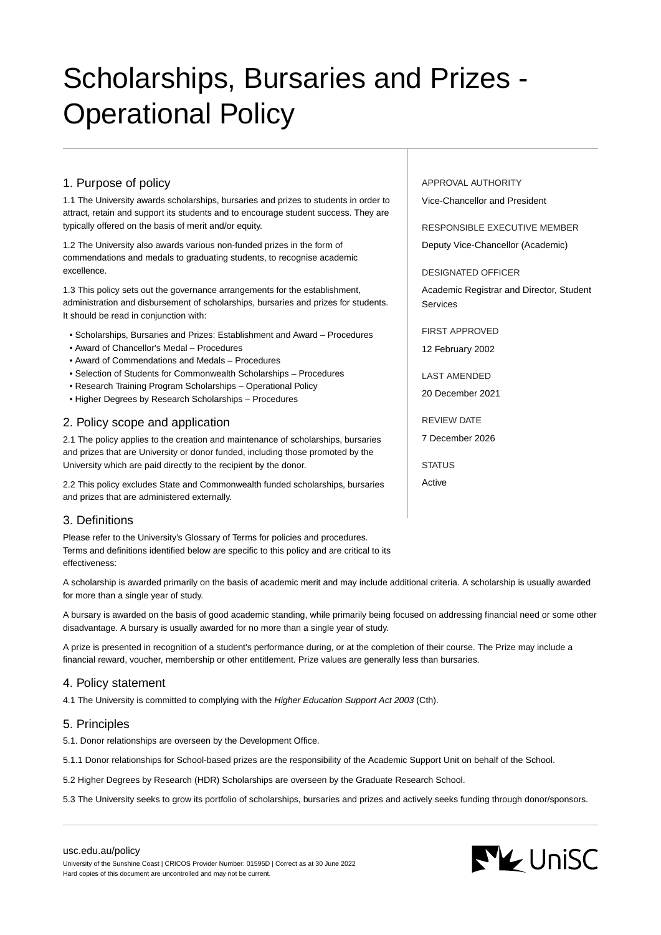# Scholarships, Bursaries and Prizes - Operational Policy

# 1. Purpose of policy

1.1 The University awards scholarships, bursaries and prizes to students in order to attract, retain and support its students and to encourage student success. They are typically offered on the basis of merit and/or equity.

1.2 The University also awards various non-funded prizes in the form of commendations and medals to graduating students, to recognise academic excellence.

1.3 This policy sets out the governance arrangements for the establishment, administration and disbursement of scholarships, bursaries and prizes for students. It should be read in conjunction with:

- Scholarships, Bursaries and Prizes: Establishment and Award Procedures
- Award of Chancellor's Medal Procedures
- Award of Commendations and Medals Procedures
- Selection of Students for Commonwealth Scholarships Procedures
- Research Training Program Scholarships Operational Policy
- Higher Degrees by Research Scholarships Procedures

## 2. Policy scope and application

2.1 The policy applies to the creation and maintenance of scholarships, bursaries and prizes that are University or donor funded, including those promoted by the University which are paid directly to the recipient by the donor.

2.2 This policy excludes State and Commonwealth funded scholarships, bursaries and prizes that are administered externally.

## 3. Definitions

Please refer to the University's Glossary of Terms for policies and procedures. Terms and definitions identified below are specific to this policy and are critical to its effectiveness:

A scholarship is awarded primarily on the basis of academic merit and may include additional criteria. A scholarship is usually awarded for more than a single year of study.

A bursary is awarded on the basis of good academic standing, while primarily being focused on addressing financial need or some other disadvantage. A bursary is usually awarded for no more than a single year of study.

A prize is presented in recognition of a student's performance during, or at the completion of their course. The Prize may include a financial reward, voucher, membership or other entitlement. Prize values are generally less than bursaries.

### 4. Policy statement

4.1 The University is committed to complying with the Higher Education Support Act 2003 (Cth).

### 5. Principles

5.1. Donor relationships are overseen by the Development Office.

5.1.1 Donor relationships for School-based prizes are the responsibility of the Academic Support Unit on behalf of the School.

5.2 Higher Degrees by Research (HDR) Scholarships are overseen by the Graduate Research School.

5.3 The University seeks to grow its portfolio of scholarships, bursaries and prizes and actively seeks funding through donor/sponsors.

#### [usc.edu.au/policy](https://www.usc.edu.au/policy)

University of the Sunshine Coast | CRICOS Provider Number: 01595D | Correct as at 30 June 2022 Hard copies of this document are uncontrolled and may not be current.

APPROVAL AUTHORITY Vice-Chancellor and President

RESPONSIBLE EXECUTIVE MEMBER

Deputy Vice-Chancellor (Academic)

DESIGNATED OFFICER

Academic Registrar and Director, Student Services

FIRST APPROVED 12 February 2002

LAST AMENDED

20 December 2021

REVIEW DATE

7 December 2026

**STATUS** 

Active